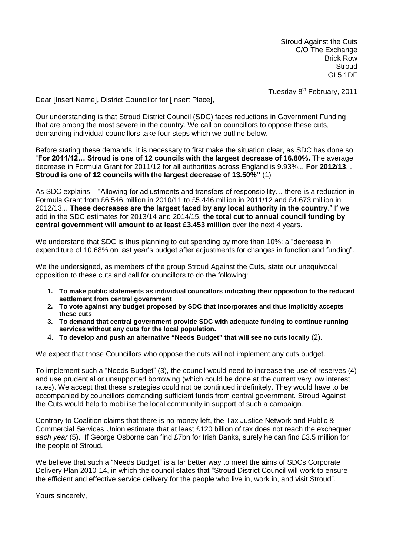Stroud Against the Cuts C/O The Exchange Brick Row **Stroud** GL5 1DF

Tuesday 8<sup>th</sup> February, 2011

Dear [Insert Name], District Councillor for [Insert Place],

Our understanding is that Stroud District Council (SDC) faces reductions in Government Funding that are among the most severe in the country. We call on councillors to oppose these cuts, demanding individual councillors take four steps which we outline below.

Before stating these demands, it is necessary to first make the situation clear, as SDC has done so: "**For 2011/12… Stroud is one of 12 councils with the largest decrease of 16.80%.** The average decrease in Formula Grant for 2011/12 for all authorities across England is 9.93%... **For 2012/13**... **Stroud is one of 12 councils with the largest decrease of 13.50%"** (1)

As SDC explains – "Allowing for adjustments and transfers of responsibility… there is a reduction in Formula Grant from £6.546 million in 2010/11 to £5.446 million in 2011/12 and £4.673 million in 2012/13... **These decreases are the largest faced by any local authority in the country**." If we add in the SDC estimates for 2013/14 and 2014/15, **the total cut to annual council funding by central government will amount to at least £3.453 million** over the next 4 years.

We understand that SDC is thus planning to cut spending by more than 10%: a "decrease in expenditure of 10.68% on last year's budget after adjustments for changes in function and funding".

We the undersigned, as members of the group Stroud Against the Cuts, state our unequivocal opposition to these cuts and call for councillors to do the following:

- **1. To make public statements as individual councillors indicating their opposition to the reduced settlement from central government**
- **2. To vote against any budget proposed by SDC that incorporates and thus implicitly accepts these cuts**
- **3. To demand that central government provide SDC with adequate funding to continue running services without any cuts for the local population.**
- 4. **To develop and push an alternative "Needs Budget" that will see no cuts locally** (2).

We expect that those Councillors who oppose the cuts will not implement any cuts budget.

To implement such a "Needs Budget" (3), the council would need to increase the use of reserves (4) and use prudential or unsupported borrowing (which could be done at the current very low interest rates). We accept that these strategies could not be continued indefinitely. They would have to be accompanied by councillors demanding sufficient funds from central government. Stroud Against the Cuts would help to mobilise the local community in support of such a campaign.

Contrary to Coalition claims that there is no money left, the Tax Justice Network and Public & Commercial Services Union estimate that at least £120 billion of tax does not reach the exchequer *each year* (5). If George Osborne can find £7bn for Irish Banks, surely he can find £3.5 million for the people of Stroud.

We believe that such a "Needs Budget" is a far better way to meet the aims of SDCs Corporate Delivery Plan 2010-14, in which the council states that "Stroud District Council will work to ensure the efficient and effective service delivery for the people who live in, work in, and visit Stroud".

Yours sincerely,